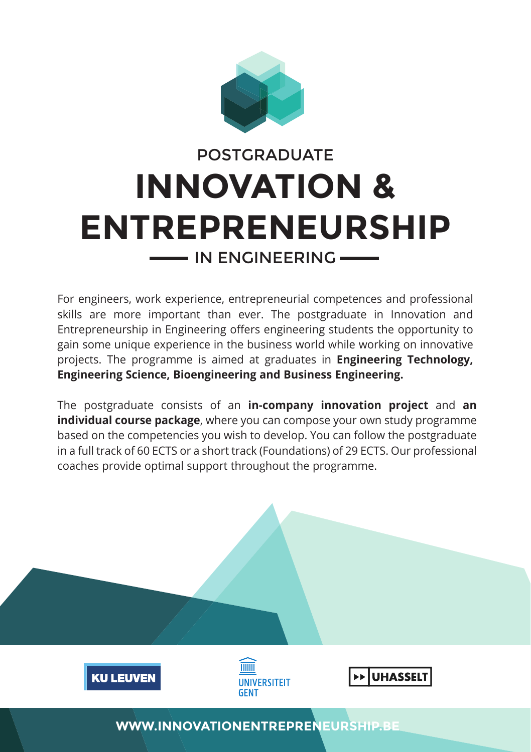

# **INNOVATION & ENTREPRENEURSHIP** POSTGRADUATE - IN ENGINEERING-

For engineers, work experience, entrepreneurial competences and professional skills are more important than ever. The postgraduate in Innovation and Entrepreneurship in Engineering offers engineering students the opportunity to gain some unique experience in the business world while working on innovative projects. The programme is aimed at graduates in **Engineering Technology, Engineering Science, Bioengineering and Business Engineering.**

The postgraduate consists of an **in-company innovation project** and **an individual course package**, where you can compose your own study programme based on the competencies you wish to develop. You can follow the postgraduate in a full track of 60 ECTS or a short track (Foundations) of 29 ECTS. Our professional coaches provide optimal support throughout the programme.